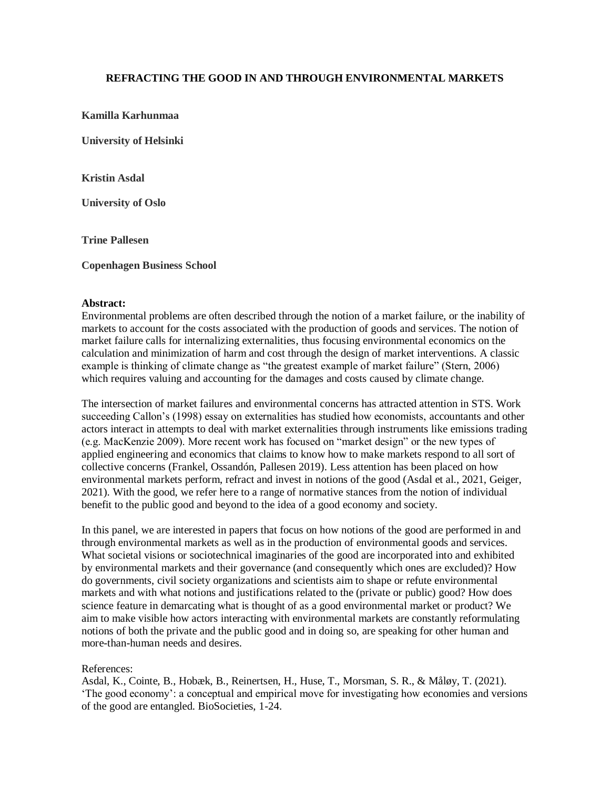## **REFRACTING THE GOOD IN AND THROUGH ENVIRONMENTAL MARKETS**

**Kamilla Karhunmaa**

**University of Helsinki**

**Kristin Asdal**

**University of Oslo**

**Trine Pallesen**

**Copenhagen Business School** 

## **Abstract:**

Environmental problems are often described through the notion of a market failure, or the inability of markets to account for the costs associated with the production of goods and services. The notion of market failure calls for internalizing externalities, thus focusing environmental economics on the calculation and minimization of harm and cost through the design of market interventions. A classic example is thinking of climate change as "the greatest example of market failure" (Stern, 2006) which requires valuing and accounting for the damages and costs caused by climate change.

The intersection of market failures and environmental concerns has attracted attention in STS. Work succeeding Callon's (1998) essay on externalities has studied how economists, accountants and other actors interact in attempts to deal with market externalities through instruments like emissions trading (e.g. MacKenzie 2009). More recent work has focused on "market design" or the new types of applied engineering and economics that claims to know how to make markets respond to all sort of collective concerns (Frankel, Ossandón, Pallesen 2019). Less attention has been placed on how environmental markets perform, refract and invest in notions of the good (Asdal et al., 2021, Geiger, 2021). With the good, we refer here to a range of normative stances from the notion of individual benefit to the public good and beyond to the idea of a good economy and society.

In this panel, we are interested in papers that focus on how notions of the good are performed in and through environmental markets as well as in the production of environmental goods and services. What societal visions or sociotechnical imaginaries of the good are incorporated into and exhibited by environmental markets and their governance (and consequently which ones are excluded)? How do governments, civil society organizations and scientists aim to shape or refute environmental markets and with what notions and justifications related to the (private or public) good? How does science feature in demarcating what is thought of as a good environmental market or product? We aim to make visible how actors interacting with environmental markets are constantly reformulating notions of both the private and the public good and in doing so, are speaking for other human and more-than-human needs and desires.

## References:

Asdal, K., Cointe, B., Hobæk, B., Reinertsen, H., Huse, T., Morsman, S. R., & Måløy, T. (2021). 'The good economy': a conceptual and empirical move for investigating how economies and versions of the good are entangled. BioSocieties, 1-24.